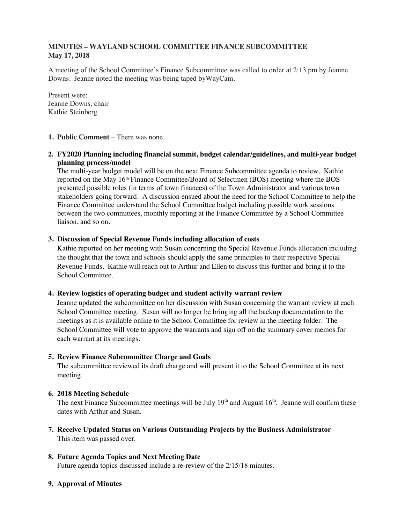# **MINUTES – WAYLAND SCHOOL COMMITTEE FINANCE SUBCOMMITTEE May 17, 2018**

A meeting of the School Committee's Finance Subcommittee was called to order at 2:13 pm by Jeanne Downs. Jeanne noted the meeting was being taped byWayCam.

Present were: Jeanne Downs, chair Kathie Steinberg

## **1. Public Comment** – There was none.

**2. FY2020 Planning including financial summit, budget calendar/guidelines, and multi-year budget planning process/model**

The multi-year budget model will be on the next Finance Subcommittee agenda to review. Kathie reported on the May 16<sup>th</sup> Finance Committee/Board of Selectmen (BOS) meeting where the BOS presented possible roles (in terms of town finances) of the Town Administrator and various town stakeholders going forward. A discussion ensued about the need for the School Committee to help the Finance Committee understand the School Committee budget including possible work sessions between the two committees, monthly reporting at the Finance Committee by a School Committee liaison, and so on.

#### **3. Discussion of Special Revenue Funds including allocation of costs**

Kathie reported on her meeting with Susan concerning the Special Revenue Funds allocation including the thought that the town and schools should apply the same principles to their respective Special Revenue Funds. Kathie will reach out to Arthur and Ellen to discuss this further and bring it to the School Committee.

#### **4. Review logistics of operating budget and student activity warrant review**

Jeanne updated the subcommittee on her discussion with Susan concerning the warrant review at each School Committee meeting. Susan will no longer be bringing all the backup documentation to the meetings as it is available online to the School Committee for review in the meeting folder. The School Committee will vote to approve the warrants and sign off on the summary cover memos for each warrant at its meetings.

## **5. Review Finance Subcommittee Charge and Goals**

The subcommittee reviewed its draft charge and will present it to the School Committee at its next meeting.

## **6. 2018 Meeting Schedule**

The next Finance Subcommittee meetings will be July  $19<sup>th</sup>$  and August  $16<sup>th</sup>$ . Jeanne will confirm these dates with Arthur and Susan.

**7. Receive Updated Status on Various Outstanding Projects by the Business Administrator**  This item was passed over.

## **8. Future Agenda Topics and Next Meeting Date**

Future agenda topics discussed include a re-review of the 2/15/18 minutes.

## **9. Approval of Minutes**